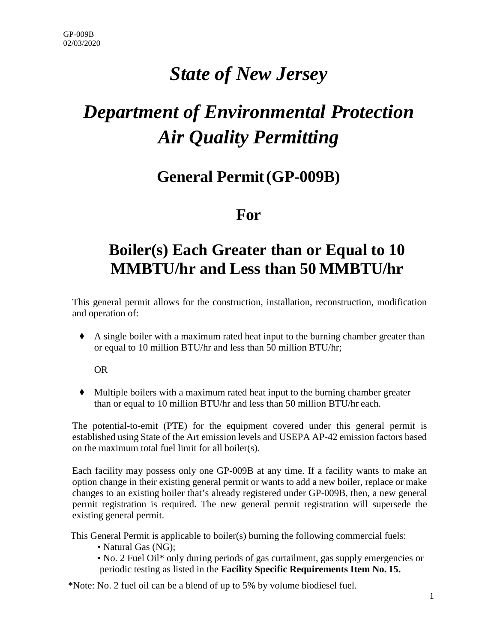# *State of New Jersey*

# *Department of Environmental Protection Air Quality Permitting*

## **General Permit(GP-009B)**

### **For**

# **Boiler(s) Each Greater than or Equal to 10 MMBTU/hr and Less than 50 MMBTU/hr**

This general permit allows for the construction, installation, reconstruction, modification and operation of:

◆ A single boiler with a maximum rated heat input to the burning chamber greater than or equal to 10 million BTU/hr and less than 50 million BTU/hr;

OR

◆ Multiple boilers with a maximum rated heat input to the burning chamber greater than or equal to 10 million BTU/hr and less than 50 million BTU/hr each.

The potential-to-emit (PTE) for the equipment covered under this general permit is established using State of the Art emission levels and USEPA AP-42 emission factors based on the maximum total fuel limit for all boiler(s).

Each facility may possess only one GP-009B at any time. If a facility wants to make an option change in their existing general permit or wants to add a new boiler, replace or make changes to an existing boiler that's already registered under GP-009B, then, a new general permit registration is required. The new general permit registration will supersede the existing general permit.

This General Permit is applicable to boiler(s) burning the following commercial fuels:

- Natural Gas (NG);
- No. 2 Fuel Oil\* only during periods of gas curtailment, gas supply emergencies or periodic testing as listed in the **Facility Specific Requirements Item No. 15.**

\*Note: No. 2 fuel oil can be a blend of up to 5% by volume biodiesel fuel.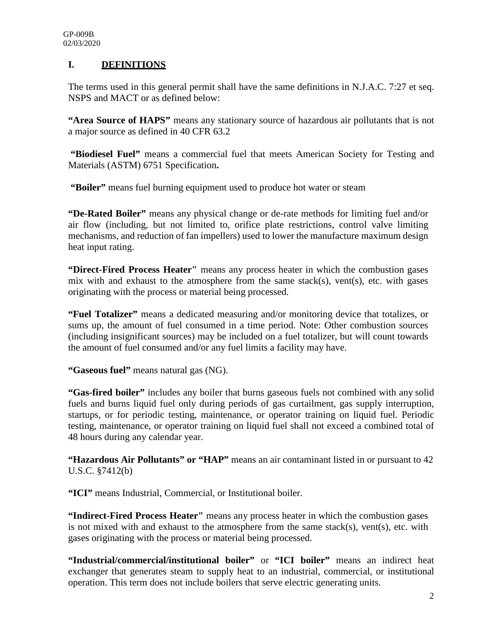#### **I. DEFINITIONS**

The terms used in this general permit shall have the same definitions in N.J.A.C. 7:27 et seq. NSPS and MACT or as defined below:

**"Area Source of HAPS"** means any stationary source of hazardous air pollutants that is not a major source as defined in 40 CFR 63.2

**"Biodiesel Fuel"** means a commercial fuel that meets American Society for Testing and Materials (ASTM) 6751 Specification**.**

**"Boiler"** means fuel burning equipment used to produce hot water or steam

**"De-Rated Boiler"** means any physical change or de-rate methods for limiting fuel and/or air flow (including, but not limited to, orifice plate restrictions, control valve limiting mechanisms, and reduction of fan impellers) used to lower the manufacture maximum design heat input rating.

**"Direct-Fired Process Heater"** means any process heater in which the combustion gases mix with and exhaust to the atmosphere from the same stack(s), vent(s), etc. with gases originating with the process or material being processed.

**"Fuel Totalizer"** means a dedicated measuring and/or monitoring device that totalizes, or sums up, the amount of fuel consumed in a time period. Note: Other combustion sources (including insignificant sources) may be included on a fuel totalizer, but will count towards the amount of fuel consumed and/or any fuel limits a facility may have.

**"Gaseous fuel"** means natural gas (NG).

**"Gas-fired boiler"** includes any boiler that burns gaseous fuels not combined with any solid fuels and burns liquid fuel only during periods of gas curtailment, gas supply interruption, startups, or for periodic testing, maintenance, or operator training on liquid fuel. Periodic testing, maintenance, or operator training on liquid fuel shall not exceed a combined total of 48 hours during any calendar year.

**"Hazardous Air Pollutants" or "HAP"** means an air contaminant listed in or pursuant to 42 U.S.C. §7412(b)

**"ICI"** means Industrial, Commercial, or Institutional boiler.

**"Indirect-Fired Process Heater"** means any process heater in which the combustion gases is not mixed with and exhaust to the atmosphere from the same stack(s), vent(s), etc. with gases originating with the process or material being processed.

**"Industrial/commercial/institutional boiler"** or **"ICI boiler"** means an indirect heat exchanger that generates steam to supply heat to an industrial, commercial, or institutional operation. This term does not include boilers that serve electric generating units.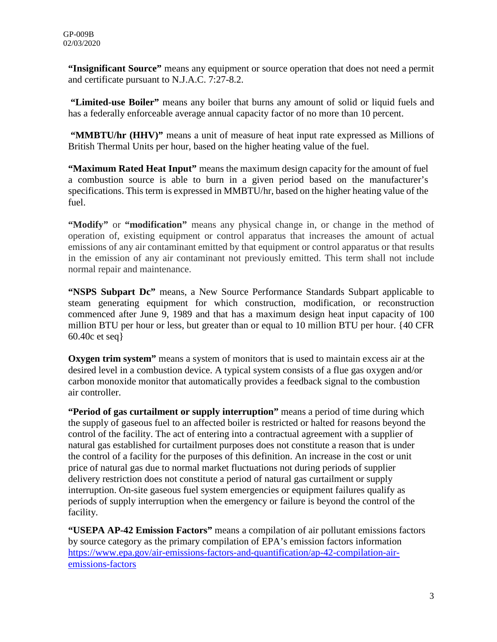**"Insignificant Source"** means any equipment or source operation that does not need a permit and certificate pursuant to N.J.A.C. 7:27-8.2.

**"Limited-use Boiler"** means any boiler that burns any amount of solid or liquid fuels and has a federally enforceable average annual capacity factor of no more than 10 percent.

**"MMBTU/hr (HHV)"** means a unit of measure of heat input rate expressed as Millions of British Thermal Units per hour, based on the higher heating value of the fuel.

**"Maximum Rated Heat Input"** means the maximum design capacity for the amount of fuel a combustion source is able to burn in a given period based on the manufacturer's specifications. This term is expressed in MMBTU/hr, based on the higher heating value of the fuel.

**"Modify"** or **"modification"** means any physical change in, or change in the method of operation of, existing equipment or control apparatus that increases the amount of actual emissions of any air contaminant emitted by that equipment or control apparatus or that results in the emission of any air contaminant not previously emitted. This term shall not include normal repair and maintenance.

**"NSPS Subpart Dc"** means, a New Source Performance Standards Subpart applicable to steam generating equipment for which construction, modification, or reconstruction commenced after June 9, 1989 and that has a maximum design heat input capacity of 100 million BTU per hour or less, but greater than or equal to 10 million BTU per hour. {40 CFR 60.40c et seq}

**Oxygen trim system"** means a system of monitors that is used to maintain excess air at the desired level in a combustion device. A typical system consists of a flue gas oxygen and/or carbon monoxide monitor that automatically provides a feedback signal to the combustion air controller.

**"Period of gas curtailment or supply interruption"** means a period of time during which the supply of gaseous fuel to an affected boiler is restricted or halted for reasons beyond the control of the facility. The act of entering into a contractual agreement with a supplier of natural gas established for curtailment purposes does not constitute a reason that is under the control of a facility for the purposes of this definition. An increase in the cost or unit price of natural gas due to normal market fluctuations not during periods of supplier delivery restriction does not constitute a period of natural gas curtailment or supply interruption. On-site gaseous fuel system emergencies or equipment failures qualify as periods of supply interruption when the emergency or failure is beyond the control of the facility.

**"USEPA AP-42 Emission Factors"** means a compilation of air pollutant emissions factors by source category as the primary compilation of EPA's emission factors information https://www.epa.gov/air-emissions-factors-and-quantification/ap-42-compilation-airemissions-factors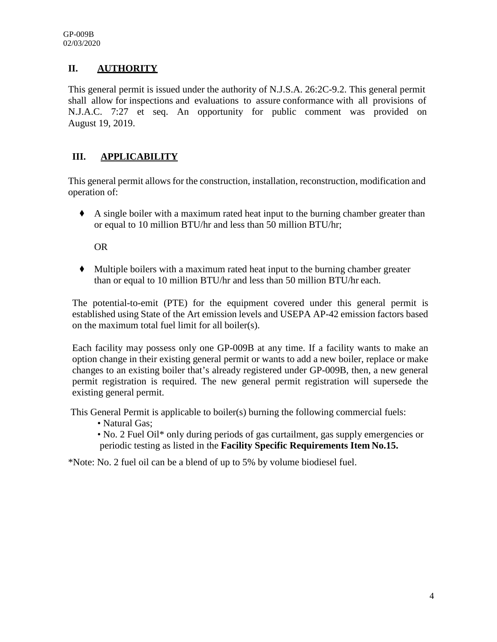### **II. AUTHORITY**

This general permit is issued under the authority of N.J.S.A. 26:2C-9.2. This general permit shall allow for inspections and evaluations to assure conformance with all provisions of N.J.A.C. 7:27 et seq. An opportunity for public comment was provided on August 19, 2019.

### **III. APPLICABILITY**

This general permit allows for the construction, installation, reconstruction, modification and operation of:

◆ A single boiler with a maximum rated heat input to the burning chamber greater than or equal to 10 million BTU/hr and less than 50 million BTU/hr;

OR

◆ Multiple boilers with a maximum rated heat input to the burning chamber greater than or equal to 10 million BTU/hr and less than 50 million BTU/hr each.

The potential-to-emit (PTE) for the equipment covered under this general permit is established using State of the Art emission levels and USEPA AP-42 emission factors based on the maximum total fuel limit for all boiler(s).

Each facility may possess only one GP-009B at any time. If a facility wants to make an option change in their existing general permit or wants to add a new boiler, replace or make changes to an existing boiler that's already registered under GP-009B, then, a new general permit registration is required. The new general permit registration will supersede the existing general permit.

This General Permit is applicable to boiler(s) burning the following commercial fuels:

- Natural Gas;
- No. 2 Fuel Oil\* only during periods of gas curtailment, gas supply emergencies or periodic testing as listed in the **Facility Specific Requirements Item No.15.**

\*Note: No. 2 fuel oil can be a blend of up to 5% by volume biodiesel fuel.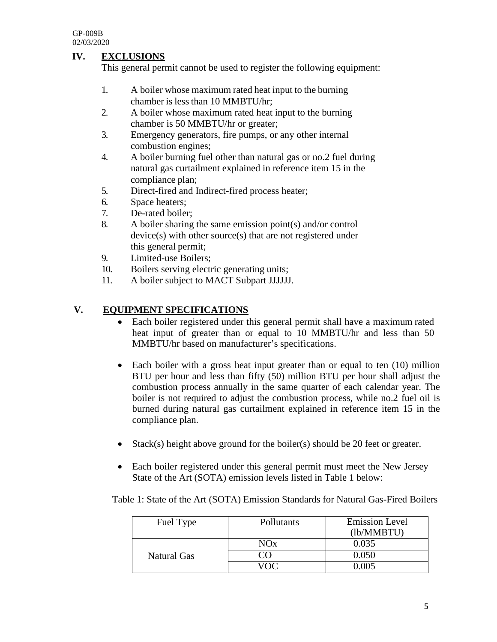### **IV. EXCLUSIONS**

This general permit cannot be used to register the following equipment:

- 1. A boiler whose maximum rated heat input to the burning chamber is less than 10 MMBTU/hr;
- 2. A boiler whose maximum rated heat input to the burning chamber is 50 MMBTU/hr or greater;
- 3. Emergency generators, fire pumps, or any other internal combustion engines;
- 4. A boiler burning fuel other than natural gas or no.2 fuel during natural gas curtailment explained in reference item 15 in the compliance plan;
- 5. Direct-fired and Indirect-fired process heater;
- 6. Space heaters;
- 7. De-rated boiler;
- 8. A boiler sharing the same emission point(s) and/or control device(s) with other source(s) that are not registered under this general permit;
- 9. Limited-use Boilers;
- 10. Boilers serving electric generating units;
- 11. A boiler subject to MACT Subpart JJJJJJ.

### **V. EQUIPMENT SPECIFICATIONS**

- Each boiler registered under this general permit shall have a maximum rated heat input of greater than or equal to 10 MMBTU/hr and less than 50 MMBTU/hr based on manufacturer's specifications.
- Each boiler with a gross heat input greater than or equal to ten (10) million BTU per hour and less than fifty (50) million BTU per hour shall adjust the combustion process annually in the same quarter of each calendar year. The boiler is not required to adjust the combustion process, while no.2 fuel oil is burned during natural gas curtailment explained in reference item 15 in the compliance plan.
- Stack(s) height above ground for the boiler(s) should be 20 feet or greater.
- Each boiler registered under this general permit must meet the New Jersey State of the Art (SOTA) emission levels listed in Table 1 below:

Table 1: State of the Art (SOTA) Emission Standards for Natural Gas-Fired Boilers

| Fuel Type   | Pollutants | <b>Emission Level</b><br>(lb/MMBTU) |
|-------------|------------|-------------------------------------|
|             | NOx        | 0.035                               |
| Natural Gas |            | 0.050                               |
|             |            | 0 005                               |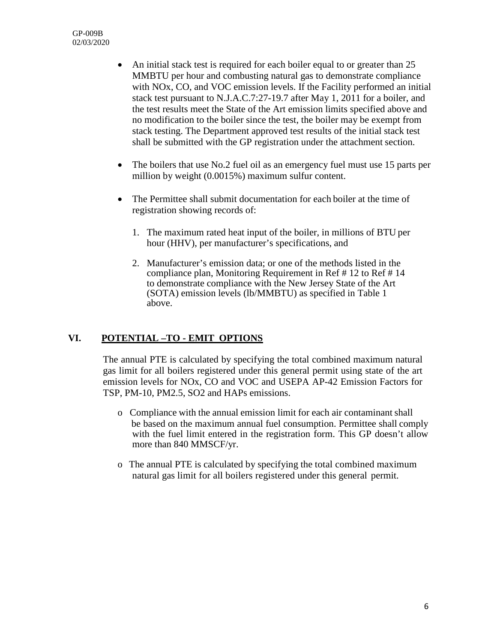- An initial stack test is required for each boiler equal to or greater than 25 MMBTU per hour and combusting natural gas to demonstrate compliance with NOx, CO, and VOC emission levels. If the Facility performed an initial stack test pursuant to N.J.A.C.7:27-19.7 after May 1, 2011 for a boiler, and the test results meet the State of the Art emission limits specified above and no modification to the boiler since the test, the boiler may be exempt from stack testing. The Department approved test results of the initial stack test shall be submitted with the GP registration under the attachment section.
- The boilers that use No.2 fuel oil as an emergency fuel must use 15 parts per million by weight (0.0015%) maximum sulfur content.
- The Permittee shall submit documentation for each boiler at the time of registration showing records of:
	- 1. The maximum rated heat input of the boiler, in millions of BTU per hour (HHV), per manufacturer's specifications, and
	- 2. Manufacturer's emission data; or one of the methods listed in the compliance plan, Monitoring Requirement in Ref # 12 to Ref # 14 to demonstrate compliance with the New Jersey State of the Art (SOTA) emission levels (lb/MMBTU) as specified in Table 1 above.

### **VI. POTENTIAL –TO - EMIT OPTIONS**

The annual PTE is calculated by specifying the total combined maximum natural gas limit for all boilers registered under this general permit using state of the art emission levels for NOx, CO and VOC and USEPA AP-42 Emission Factors for TSP, PM-10, PM2.5, SO2 and HAPs emissions.

- o Compliance with the annual emission limit for each air contaminant shall be based on the maximum annual fuel consumption. Permittee shall comply with the fuel limit entered in the registration form. This GP doesn't allow more than 840 MMSCF/yr.
- o The annual PTE is calculated by specifying the total combined maximum natural gas limit for all boilers registered under this general permit.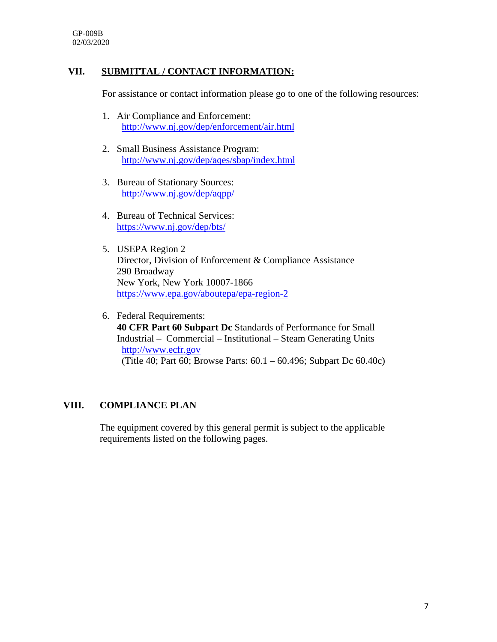#### **VII. SUBMITTAL / CONTACT INFORMATION:**

For assistance or contact information please go to one of the following resources:

- 1. Air Compliance and Enforcement: <http://www.nj.gov/dep/enforcement/air.html>
- 2. Small Business Assistance Program: <http://www.nj.gov/dep/aqes/sbap/index.html>
- 3. Bureau of Stationary Sources: <http://www.nj.gov/dep/aqpp/>
- 4. Bureau of Technical Services: <https://www.nj.gov/dep/bts/>
- 5. USEPA Region 2 Director, Division of Enforcement & Compliance Assistance 290 Broadway New York, New York 10007-1866 <https://www.epa.gov/aboutepa/epa-region-2>
- 6. Federal Requirements:  **40 CFR Part 60 Subpart Dc** Standards of Performance for Small Industrial – Commercial – Institutional – Steam Generating Units [http://www.ecfr.gov](http://www.ecfr.gov/) (Title 40; Part 60; Browse Parts: 60.1 – 60.496; Subpart Dc 60.40c)

#### **VIII. COMPLIANCE PLAN**

The equipment covered by this general permit is subject to the applicable requirements listed on the following pages.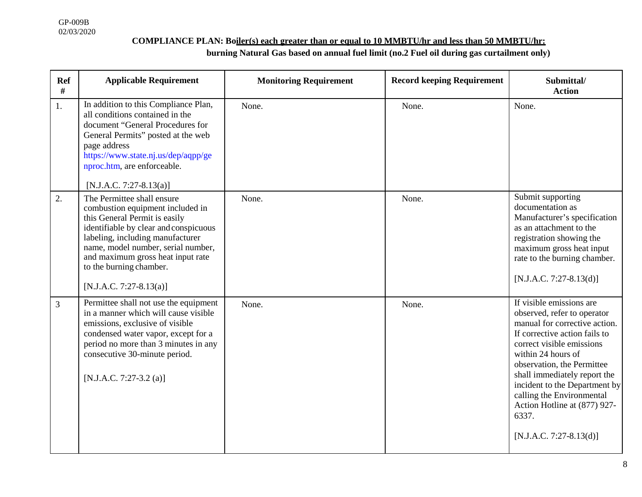## **COMPLIANCE PLAN: Boiler(s) each greater than or equal to 10 MMBTU/hr and less than 50 MMBTU/hr:**

**burning Natural Gas based on annual fuel limit (no.2 Fuel oil during gas curtailment only)**

| <b>Ref</b><br># | <b>Applicable Requirement</b>                                                                                                                                                                                                                                                                                   | <b>Monitoring Requirement</b> | <b>Record keeping Requirement</b> | Submittal/<br><b>Action</b>                                                                                                                                                                                                                                                                                                                                                    |
|-----------------|-----------------------------------------------------------------------------------------------------------------------------------------------------------------------------------------------------------------------------------------------------------------------------------------------------------------|-------------------------------|-----------------------------------|--------------------------------------------------------------------------------------------------------------------------------------------------------------------------------------------------------------------------------------------------------------------------------------------------------------------------------------------------------------------------------|
| 1.              | In addition to this Compliance Plan,<br>all conditions contained in the<br>document "General Procedures for<br>General Permits" posted at the web<br>page address<br>https://www.state.nj.us/dep/aqpp/ge<br>nproc.htm, are enforceable.<br>$[N.J.A.C. 7:27-8.13(a)]$                                            | None.                         | None.                             | None.                                                                                                                                                                                                                                                                                                                                                                          |
| 2.              | The Permittee shall ensure<br>combustion equipment included in<br>this General Permit is easily<br>identifiable by clear and conspicuous<br>labeling, including manufacturer<br>name, model number, serial number,<br>and maximum gross heat input rate<br>to the burning chamber.<br>$[N.J.A.C. 7:27-8.13(a)]$ | None.                         | None.                             | Submit supporting<br>documentation as<br>Manufacturer's specification<br>as an attachment to the<br>registration showing the<br>maximum gross heat input<br>rate to the burning chamber.<br>$[N.J.A.C. 7:27-8.13(d)]$                                                                                                                                                          |
| 3               | Permittee shall not use the equipment<br>in a manner which will cause visible<br>emissions, exclusive of visible<br>condensed water vapor, except for a<br>period no more than 3 minutes in any<br>consecutive 30-minute period.<br>[N.J.A.C. 7:27-3.2 (a)]                                                     | None.                         | None.                             | If visible emissions are<br>observed, refer to operator<br>manual for corrective action.<br>If corrective action fails to<br>correct visible emissions<br>within 24 hours of<br>observation, the Permittee<br>shall immediately report the<br>incident to the Department by<br>calling the Environmental<br>Action Hotline at (877) 927-<br>6337.<br>$[N.J.A.C. 7:27-8.13(d)]$ |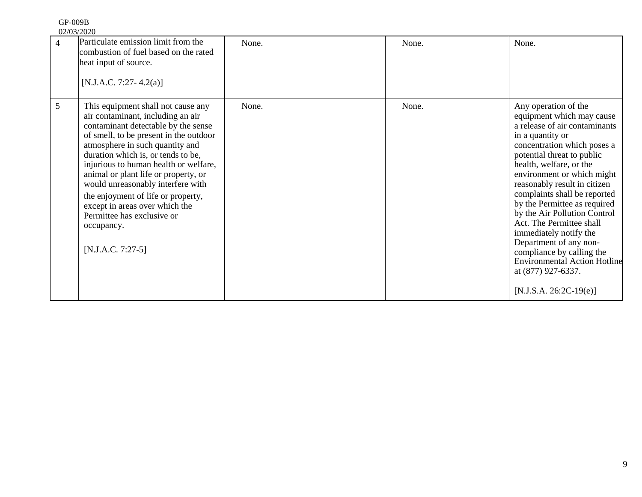| 91 VVZD    |  |
|------------|--|
| 02/03/2020 |  |

| $\overline{4}$ | Particulate emission limit from the<br>combustion of fuel based on the rated<br>heat input of source.<br>[N.J.A.C. 7:27-4.2(a)]                                                                                                                                                                                                                                                                                                                                                                    | None. | None. | None.                                                                                                                                                                                                                                                                                                                                                                                                                                                                                                                                                       |
|----------------|----------------------------------------------------------------------------------------------------------------------------------------------------------------------------------------------------------------------------------------------------------------------------------------------------------------------------------------------------------------------------------------------------------------------------------------------------------------------------------------------------|-------|-------|-------------------------------------------------------------------------------------------------------------------------------------------------------------------------------------------------------------------------------------------------------------------------------------------------------------------------------------------------------------------------------------------------------------------------------------------------------------------------------------------------------------------------------------------------------------|
| 5              | This equipment shall not cause any<br>air contaminant, including an air<br>contaminant detectable by the sense<br>of smell, to be present in the outdoor<br>atmosphere in such quantity and<br>duration which is, or tends to be,<br>injurious to human health or welfare,<br>animal or plant life or property, or<br>would unreasonably interfere with<br>the enjoyment of life or property,<br>except in areas over which the<br>Permittee has exclusive or<br>occupancy.<br>$[N.J.A.C. 7:27-5]$ | None. | None. | Any operation of the<br>equipment which may cause<br>a release of air contaminants<br>in a quantity or<br>concentration which poses a<br>potential threat to public<br>health, welfare, or the<br>environment or which might<br>reasonably result in citizen<br>complaints shall be reported<br>by the Permittee as required<br>by the Air Pollution Control<br>Act. The Permittee shall<br>immediately notify the<br>Department of any non-<br>compliance by calling the<br>Environmental Action Hotline<br>at (877) 927-6337.<br>$[N.J.S.A. 26:2C-19(e)]$ |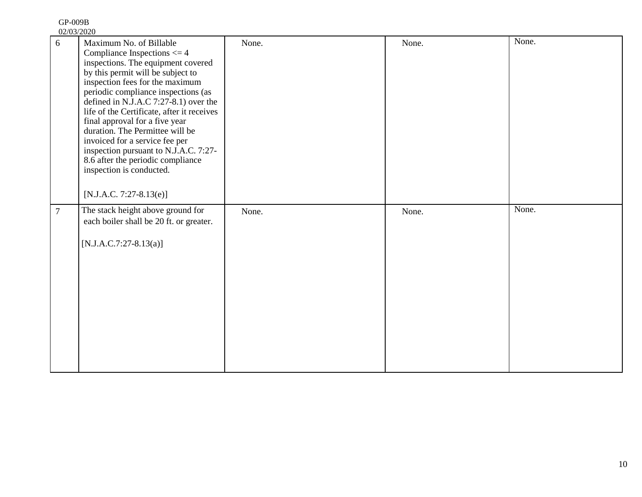| <u>VZJUJIZUZU</u><br>6 | Maximum No. of Billable                                       | None. | None. | None. |
|------------------------|---------------------------------------------------------------|-------|-------|-------|
|                        | Compliance Inspections $\leq 4$                               |       |       |       |
|                        | inspections. The equipment covered                            |       |       |       |
|                        | by this permit will be subject to                             |       |       |       |
|                        | inspection fees for the maximum                               |       |       |       |
|                        | periodic compliance inspections (as                           |       |       |       |
|                        | defined in N.J.A.C $7:27-8.1$ ) over the                      |       |       |       |
|                        | life of the Certificate, after it receives                    |       |       |       |
|                        | final approval for a five year                                |       |       |       |
|                        | duration. The Permittee will be                               |       |       |       |
|                        | invoiced for a service fee per                                |       |       |       |
|                        | inspection pursuant to N.J.A.C. 7:27-                         |       |       |       |
|                        | 8.6 after the periodic compliance<br>inspection is conducted. |       |       |       |
|                        |                                                               |       |       |       |
|                        |                                                               |       |       |       |
|                        | [N.J.A.C. 7:27-8.13(e)]                                       |       |       |       |
|                        |                                                               |       |       |       |
| $\overline{7}$         | The stack height above ground for                             | None. | None. | None. |
|                        | each boiler shall be 20 ft. or greater.                       |       |       |       |
|                        |                                                               |       |       |       |
|                        |                                                               |       |       |       |
|                        | $[N.J.A.C.7:27-8.13(a)]$                                      |       |       |       |
|                        |                                                               |       |       |       |
|                        |                                                               |       |       |       |
|                        |                                                               |       |       |       |
|                        |                                                               |       |       |       |
|                        |                                                               |       |       |       |
|                        |                                                               |       |       |       |
|                        |                                                               |       |       |       |
|                        |                                                               |       |       |       |
|                        |                                                               |       |       |       |
|                        |                                                               |       |       |       |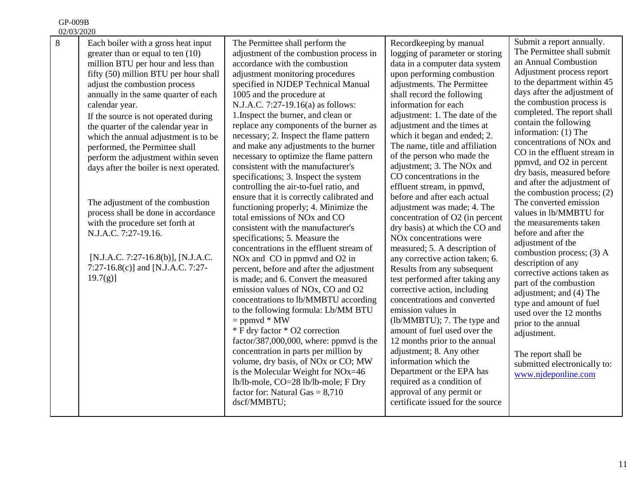| 02/03/2020 |                                                                                                                                                                                                                                                                                                                                                                                                                                                                                                                                                                                                                                                                                                                               |                                                                                                                                                                                                                                                                                                                                                                                                                                                                                                                                                                                                                                                                                                                                                                                                                                                                                                                                                                                                                                                                                                                                                                                                                                                                                                                                                                                                                                                  |                                                                                                                                                                                                                                                                                                                                                                                                                                                                                                                                                                                                                                                                                                                                                                                                                                                                                                                                                                                                                                                                                                                                                                               |                                                                                                                                                                                                                                                                                                                                                                                                                                                                                                                                                                                                                                                                                                                                                                                                                                                                                                                                       |
|------------|-------------------------------------------------------------------------------------------------------------------------------------------------------------------------------------------------------------------------------------------------------------------------------------------------------------------------------------------------------------------------------------------------------------------------------------------------------------------------------------------------------------------------------------------------------------------------------------------------------------------------------------------------------------------------------------------------------------------------------|--------------------------------------------------------------------------------------------------------------------------------------------------------------------------------------------------------------------------------------------------------------------------------------------------------------------------------------------------------------------------------------------------------------------------------------------------------------------------------------------------------------------------------------------------------------------------------------------------------------------------------------------------------------------------------------------------------------------------------------------------------------------------------------------------------------------------------------------------------------------------------------------------------------------------------------------------------------------------------------------------------------------------------------------------------------------------------------------------------------------------------------------------------------------------------------------------------------------------------------------------------------------------------------------------------------------------------------------------------------------------------------------------------------------------------------------------|-------------------------------------------------------------------------------------------------------------------------------------------------------------------------------------------------------------------------------------------------------------------------------------------------------------------------------------------------------------------------------------------------------------------------------------------------------------------------------------------------------------------------------------------------------------------------------------------------------------------------------------------------------------------------------------------------------------------------------------------------------------------------------------------------------------------------------------------------------------------------------------------------------------------------------------------------------------------------------------------------------------------------------------------------------------------------------------------------------------------------------------------------------------------------------|---------------------------------------------------------------------------------------------------------------------------------------------------------------------------------------------------------------------------------------------------------------------------------------------------------------------------------------------------------------------------------------------------------------------------------------------------------------------------------------------------------------------------------------------------------------------------------------------------------------------------------------------------------------------------------------------------------------------------------------------------------------------------------------------------------------------------------------------------------------------------------------------------------------------------------------|
| 8          | Each boiler with a gross heat input<br>greater than or equal to ten (10)<br>million BTU per hour and less than<br>fifty (50) million BTU per hour shall<br>adjust the combustion process<br>annually in the same quarter of each<br>calendar year.<br>If the source is not operated during<br>the quarter of the calendar year in<br>which the annual adjustment is to be<br>performed, the Permittee shall<br>perform the adjustment within seven<br>days after the boiler is next operated.<br>The adjustment of the combustion<br>process shall be done in accordance<br>with the procedure set forth at<br>N.J.A.C. 7:27-19.16.<br>[N.J.A.C. 7:27-16.8(b)], [N.J.A.C.<br>7:27-16.8(c)] and [N.J.A.C. 7:27-<br>$19.7(g)$ ] | The Permittee shall perform the<br>adjustment of the combustion process in<br>accordance with the combustion<br>adjustment monitoring procedures<br>specified in NJDEP Technical Manual<br>1005 and the procedure at<br>N.J.A.C. 7:27-19.16(a) as follows:<br>1. Inspect the burner, and clean or<br>replace any components of the burner as<br>necessary; 2. Inspect the flame pattern<br>and make any adjustments to the burner<br>necessary to optimize the flame pattern<br>consistent with the manufacturer's<br>specifications; 3. Inspect the system<br>controlling the air-to-fuel ratio, and<br>ensure that it is correctly calibrated and<br>functioning properly; 4. Minimize the<br>total emissions of NO <sub>x</sub> and CO<br>consistent with the manufacturer's<br>specifications; 5. Measure the<br>concentrations in the effluent stream of<br>NO <sub>x</sub> and CO in ppmvd and O <sub>2</sub> in<br>percent, before and after the adjustment<br>is made; and 6. Convert the measured<br>emission values of NOx, CO and O2<br>concentrations to lb/MMBTU according<br>to the following formula: Lb/MM BTU<br>$=$ ppmvd $*$ MW<br>* F dry factor * O2 correction<br>factor/387,000,000, where: ppmvd is the<br>concentration in parts per million by<br>volume, dry basis, of NOx or CO; MW<br>is the Molecular Weight for NOx=46<br>lb/lb-mole, CO=28 lb/lb-mole; F Dry<br>factor for: Natural Gas $= 8,710$<br>dscf/MMBTU; | Recordkeeping by manual<br>logging of parameter or storing<br>data in a computer data system<br>upon performing combustion<br>adjustments. The Permittee<br>shall record the following<br>information for each<br>adjustment: 1. The date of the<br>adjustment and the times at<br>which it began and ended; 2.<br>The name, title and affiliation<br>of the person who made the<br>adjustment; 3. The NO <sub>x</sub> and<br>CO concentrations in the<br>effluent stream, in ppmvd,<br>before and after each actual<br>adjustment was made; 4. The<br>concentration of O2 (in percent<br>dry basis) at which the CO and<br>NO <sub>x</sub> concentrations were<br>measured; 5. A description of<br>any corrective action taken; 6.<br>Results from any subsequent<br>test performed after taking any<br>corrective action, including<br>concentrations and converted<br>emission values in<br>(lb/MMBTU); 7. The type and<br>amount of fuel used over the<br>12 months prior to the annual<br>adjustment; 8. Any other<br>information which the<br>Department or the EPA has<br>required as a condition of<br>approval of any permit or<br>certificate issued for the source | Submit a report annually.<br>The Permittee shall submit<br>an Annual Combustion<br>Adjustment process report<br>to the department within 45<br>days after the adjustment of<br>the combustion process is<br>completed. The report shall<br>contain the following<br>information: (1) The<br>concentrations of NO <sub>x</sub> and<br>CO in the effluent stream in<br>ppmvd, and O2 in percent<br>dry basis, measured before<br>and after the adjustment of<br>the combustion process; (2)<br>The converted emission<br>values in lb/MMBTU for<br>the measurements taken<br>before and after the<br>adjustment of the<br>combustion process; (3) A<br>description of any<br>corrective actions taken as<br>part of the combustion<br>adjustment; and (4) The<br>type and amount of fuel<br>used over the 12 months<br>prior to the annual<br>adjustment.<br>The report shall be<br>submitted electronically to:<br>www.njdeponline.com |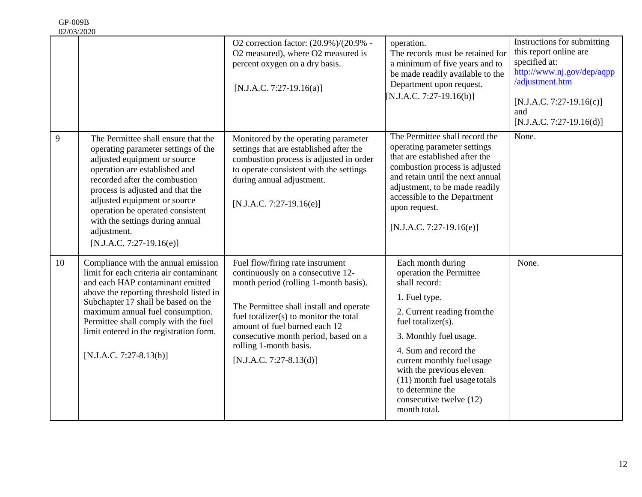|    | UZI UJI ZUZU                                                                                                                                                                                                                                                                                                                                                         | O2 correction factor: (20.9%)/(20.9% -<br>O2 measured), where O2 measured is<br>percent oxygen on a dry basis.<br>$[N.J.A.C. 7:27-19.16(a)]$                                                                                                                                                                                        | operation.<br>The records must be retained for<br>a minimum of five years and to<br>be made readily available to the<br>Department upon request.<br>$[N.J.A.C. 7:27-19.16(b)]$                                                                                                                                                                  | Instructions for submitting<br>this report online are<br>specified at:<br>http://www.nj.gov/dep/aqpp<br>/adjustment.htm<br>$[N.J.A.C. 7:27-19.16(c)]$<br>and<br>$[N.J.A.C. 7:27-19.16(d)]$ |
|----|----------------------------------------------------------------------------------------------------------------------------------------------------------------------------------------------------------------------------------------------------------------------------------------------------------------------------------------------------------------------|-------------------------------------------------------------------------------------------------------------------------------------------------------------------------------------------------------------------------------------------------------------------------------------------------------------------------------------|-------------------------------------------------------------------------------------------------------------------------------------------------------------------------------------------------------------------------------------------------------------------------------------------------------------------------------------------------|--------------------------------------------------------------------------------------------------------------------------------------------------------------------------------------------|
| 9  | The Permittee shall ensure that the<br>operating parameter settings of the<br>adjusted equipment or source<br>operation are established and<br>recorded after the combustion<br>process is adjusted and that the<br>adjusted equipment or source<br>operation be operated consistent<br>with the settings during annual<br>adjustment.<br>$[N.J.A.C. 7:27-19.16(e)]$ | Monitored by the operating parameter<br>settings that are established after the<br>combustion process is adjusted in order<br>to operate consistent with the settings<br>during annual adjustment.<br>$[N.J.A.C. 7:27-19.16(e)]$                                                                                                    | The Permittee shall record the<br>operating parameter settings<br>that are established after the<br>combustion process is adjusted<br>and retain until the next annual<br>adjustment, to be made readily<br>accessible to the Department<br>upon request.<br>$[N.J.A.C. 7:27-19.16(e)]$                                                         | None.                                                                                                                                                                                      |
| 10 | Compliance with the annual emission<br>limit for each criteria air contaminant<br>and each HAP contaminant emitted<br>above the reporting threshold listed in<br>Subchapter 17 shall be based on the<br>maximum annual fuel consumption.<br>Permittee shall comply with the fuel<br>limit entered in the registration form.<br>$[N.J.A.C. 7:27-8.13(h)]$             | Fuel flow/firing rate instrument<br>continuously on a consecutive 12-<br>month period (rolling 1-month basis).<br>The Permittee shall install and operate<br>fuel totalizer(s) to monitor the total<br>amount of fuel burned each 12<br>consecutive month period, based on a<br>rolling 1-month basis.<br>$[N.J.A.C. 7:27-8.13(d)]$ | Each month during<br>operation the Permittee<br>shall record:<br>1. Fuel type.<br>2. Current reading from the<br>fuel totalizer(s).<br>3. Monthly fuel usage.<br>4. Sum and record the<br>current monthly fuel usage<br>with the previous eleven<br>(11) month fuel usage totals<br>to determine the<br>consecutive twelve (12)<br>month total. | None.                                                                                                                                                                                      |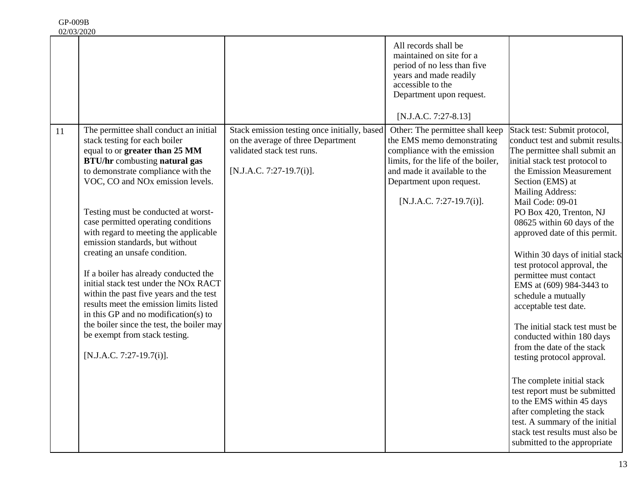02/03/2020

| All records shall be<br>maintained on site for a<br>period of no less than five<br>years and made readily<br>accessible to the<br>Department upon request.<br>[N.J.A.C. 7:27-8.13]<br>The permittee shall conduct an initial<br>Stack emission testing once initially, based<br>Other: The permittee shall keep<br>Stack test: Submit protocol,<br>11<br>the EMS memo demonstrating<br>stack testing for each boiler<br>on the average of three Department<br>conduct test and submit results.<br>validated stack test runs.<br>equal to or greater than 25 MM<br>compliance with the emission<br>The permittee shall submit an<br><b>BTU/hr</b> combusting natural gas<br>limits, for the life of the boiler,<br>initial stack test protocol to<br>[N.J.A.C. 7:27-19.7(i)].<br>to demonstrate compliance with the<br>and made it available to the<br>the Emission Measurement<br>VOC, CO and NO <sub>x</sub> emission levels.<br>Department upon request.<br>Section (EMS) at<br><b>Mailing Address:</b><br>[N.J.A.C. 7:27-19.7(i)].<br>Mail Code: 09-01<br>Testing must be conducted at worst-<br>PO Box 420, Trenton, NJ<br>case permitted operating conditions<br>08625 within 60 days of the<br>with regard to meeting the applicable<br>approved date of this permit.<br>emission standards, but without<br>creating an unsafe condition.<br>Within 30 days of initial stack<br>test protocol approval, the<br>If a boiler has already conducted the<br>permittee must contact<br>initial stack test under the NO <sub>x</sub> RACT<br>EMS at (609) 984-3443 to<br>within the past five years and the test<br>schedule a mutually<br>results meet the emission limits listed<br>acceptable test date.<br>in this GP and no modification(s) to<br>the boiler since the test, the boiler may<br>The initial stack test must be<br>be exempt from stack testing.<br>conducted within 180 days<br>from the date of the stack<br>[N.J.A.C. 7:27-19.7(i)].<br>testing protocol approval.<br>The complete initial stack<br>test report must be submitted<br>to the EMS within 45 days<br>after completing the stack<br>test. A summary of the initial<br>stack test results must also be<br>submitted to the appropriate |  |  |  |
|-------------------------------------------------------------------------------------------------------------------------------------------------------------------------------------------------------------------------------------------------------------------------------------------------------------------------------------------------------------------------------------------------------------------------------------------------------------------------------------------------------------------------------------------------------------------------------------------------------------------------------------------------------------------------------------------------------------------------------------------------------------------------------------------------------------------------------------------------------------------------------------------------------------------------------------------------------------------------------------------------------------------------------------------------------------------------------------------------------------------------------------------------------------------------------------------------------------------------------------------------------------------------------------------------------------------------------------------------------------------------------------------------------------------------------------------------------------------------------------------------------------------------------------------------------------------------------------------------------------------------------------------------------------------------------------------------------------------------------------------------------------------------------------------------------------------------------------------------------------------------------------------------------------------------------------------------------------------------------------------------------------------------------------------------------------------------------------------------------------------------------------------------------------------------------------------------------------------------|--|--|--|
|                                                                                                                                                                                                                                                                                                                                                                                                                                                                                                                                                                                                                                                                                                                                                                                                                                                                                                                                                                                                                                                                                                                                                                                                                                                                                                                                                                                                                                                                                                                                                                                                                                                                                                                                                                                                                                                                                                                                                                                                                                                                                                                                                                                                                         |  |  |  |
|                                                                                                                                                                                                                                                                                                                                                                                                                                                                                                                                                                                                                                                                                                                                                                                                                                                                                                                                                                                                                                                                                                                                                                                                                                                                                                                                                                                                                                                                                                                                                                                                                                                                                                                                                                                                                                                                                                                                                                                                                                                                                                                                                                                                                         |  |  |  |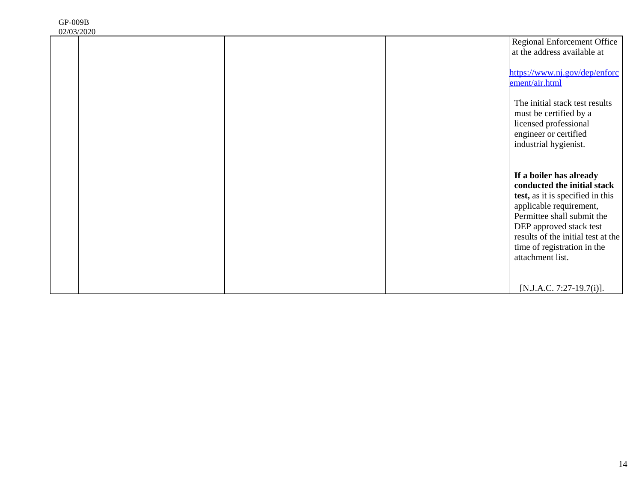| 02/03/2020 |                                                          |
|------------|----------------------------------------------------------|
|            | <b>Regional Enforcement Office</b>                       |
|            | at the address available at                              |
|            | https://www.nj.gov/dep/enforc                            |
|            | ement/air.html                                           |
|            |                                                          |
|            | The initial stack test results<br>must be certified by a |
|            | licensed professional                                    |
|            | engineer or certified                                    |
|            | industrial hygienist.                                    |
|            |                                                          |
|            | If a boiler has already                                  |
|            | conducted the initial stack                              |
|            | test, as it is specified in this                         |
|            | applicable requirement,<br>Permittee shall submit the    |
|            | DEP approved stack test                                  |
|            | results of the initial test at the                       |
|            | time of registration in the                              |
|            | attachment list.                                         |
|            |                                                          |
|            | [N.J.A.C. 7:27-19.7(i)].                                 |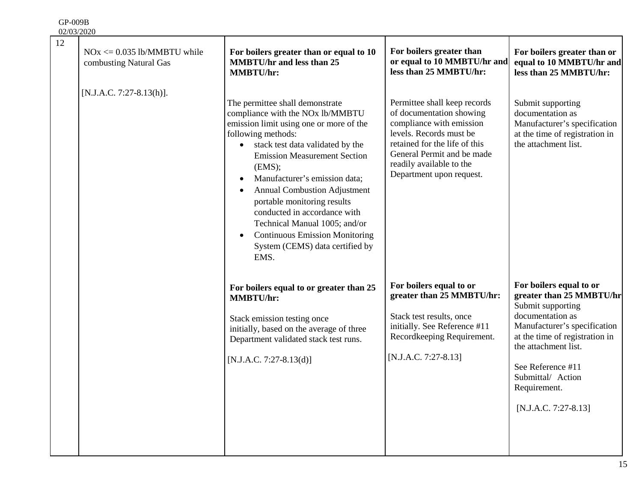| 12 | $NOx \le 0.035$ lb/MMBTU while<br>combusting Natural Gas | For boilers greater than or equal to 10<br><b>MMBTU/hr and less than 25</b><br><b>MMBTU/hr:</b>                                                                                                                                                                                                                                                                                                                                                                                                                              | For boilers greater than<br>or equal to 10 MMBTU/hr and<br>less than 25 MMBTU/hr:                                                                                                                                                      | For boilers greater than or<br>equal to 10 MMBTU/hr and<br>less than 25 MMBTU/hr:                                                                                                                                                                                          |
|----|----------------------------------------------------------|------------------------------------------------------------------------------------------------------------------------------------------------------------------------------------------------------------------------------------------------------------------------------------------------------------------------------------------------------------------------------------------------------------------------------------------------------------------------------------------------------------------------------|----------------------------------------------------------------------------------------------------------------------------------------------------------------------------------------------------------------------------------------|----------------------------------------------------------------------------------------------------------------------------------------------------------------------------------------------------------------------------------------------------------------------------|
|    | $[N.J.A.C. 7:27-8.13(h)].$                               | The permittee shall demonstrate<br>compliance with the NOx lb/MMBTU<br>emission limit using one or more of the<br>following methods:<br>stack test data validated by the<br>$\bullet$<br><b>Emission Measurement Section</b><br>(EMS);<br>Manufacturer's emission data;<br>$\bullet$<br><b>Annual Combustion Adjustment</b><br>portable monitoring results<br>conducted in accordance with<br>Technical Manual 1005; and/or<br><b>Continuous Emission Monitoring</b><br>$\bullet$<br>System (CEMS) data certified by<br>EMS. | Permittee shall keep records<br>of documentation showing<br>compliance with emission<br>levels. Records must be<br>retained for the life of this<br>General Permit and be made<br>readily available to the<br>Department upon request. | Submit supporting<br>documentation as<br>Manufacturer's specification<br>at the time of registration in<br>the attachment list.                                                                                                                                            |
|    |                                                          | For boilers equal to or greater than 25<br><b>MMBTU/hr:</b><br>Stack emission testing once<br>initially, based on the average of three<br>Department validated stack test runs.<br>$[N.J.A.C. 7:27-8.13(d)]$                                                                                                                                                                                                                                                                                                                 | For boilers equal to or<br>greater than 25 MMBTU/hr:<br>Stack test results, once<br>initially. See Reference #11<br>Recordkeeping Requirement.<br>[N.J.A.C. 7:27-8.13]                                                                 | For boilers equal to or<br>greater than 25 MMBTU/hr<br>Submit supporting<br>documentation as<br>Manufacturer's specification<br>at the time of registration in<br>the attachment list.<br>See Reference #11<br>Submittal/ Action<br>Requirement.<br>$[N.J.A.C. 7:27-8.13]$ |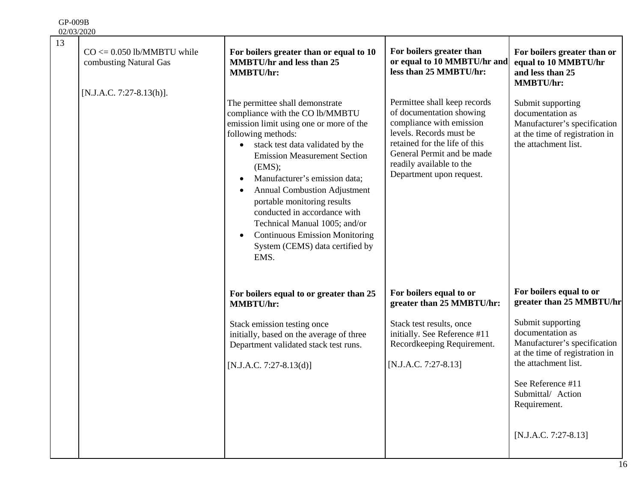| 13 | $CO \le 0.050$ lb/MMBTU while<br>combusting Natural Gas | For boilers greater than or equal to 10<br><b>MMBTU/hr and less than 25</b><br><b>MMBTU/hr:</b>                                                                                                                                                                                                                                                                                                                                                                                                   | For boilers greater than<br>or equal to 10 MMBTU/hr and<br>less than 25 MMBTU/hr:                                                                                                                                                      | For boilers greater than or<br>equal to 10 MMBTU/hr<br>and less than 25<br><b>MMBTU/hr:</b>                                     |
|----|---------------------------------------------------------|---------------------------------------------------------------------------------------------------------------------------------------------------------------------------------------------------------------------------------------------------------------------------------------------------------------------------------------------------------------------------------------------------------------------------------------------------------------------------------------------------|----------------------------------------------------------------------------------------------------------------------------------------------------------------------------------------------------------------------------------------|---------------------------------------------------------------------------------------------------------------------------------|
|    | [N.J.A.C. 7:27-8.13(h)].                                | The permittee shall demonstrate<br>compliance with the CO lb/MMBTU<br>emission limit using one or more of the<br>following methods:<br>stack test data validated by the<br><b>Emission Measurement Section</b><br>(EMS);<br>Manufacturer's emission data;<br><b>Annual Combustion Adjustment</b><br>portable monitoring results<br>conducted in accordance with<br>Technical Manual 1005; and/or<br><b>Continuous Emission Monitoring</b><br>$\bullet$<br>System (CEMS) data certified by<br>EMS. | Permittee shall keep records<br>of documentation showing<br>compliance with emission<br>levels. Records must be<br>retained for the life of this<br>General Permit and be made<br>readily available to the<br>Department upon request. | Submit supporting<br>documentation as<br>Manufacturer's specification<br>at the time of registration in<br>the attachment list. |
|    |                                                         | For boilers equal to or greater than 25<br><b>MMBTU/hr:</b>                                                                                                                                                                                                                                                                                                                                                                                                                                       | For boilers equal to or<br>greater than 25 MMBTU/hr:                                                                                                                                                                                   | For boilers equal to or<br>greater than 25 MMBTU/hr                                                                             |
|    |                                                         | Stack emission testing once<br>initially, based on the average of three<br>Department validated stack test runs.<br>$[N.J.A.C. 7:27-8.13(d)]$                                                                                                                                                                                                                                                                                                                                                     | Stack test results, once<br>initially. See Reference #11<br>Recordkeeping Requirement.<br>[N.J.A.C. 7:27-8.13]                                                                                                                         | Submit supporting<br>documentation as<br>Manufacturer's specification<br>at the time of registration in<br>the attachment list. |
|    |                                                         |                                                                                                                                                                                                                                                                                                                                                                                                                                                                                                   |                                                                                                                                                                                                                                        | See Reference #11<br>Submittal/ Action<br>Requirement.                                                                          |
|    |                                                         |                                                                                                                                                                                                                                                                                                                                                                                                                                                                                                   |                                                                                                                                                                                                                                        | [N.J.A.C. 7:27-8.13]                                                                                                            |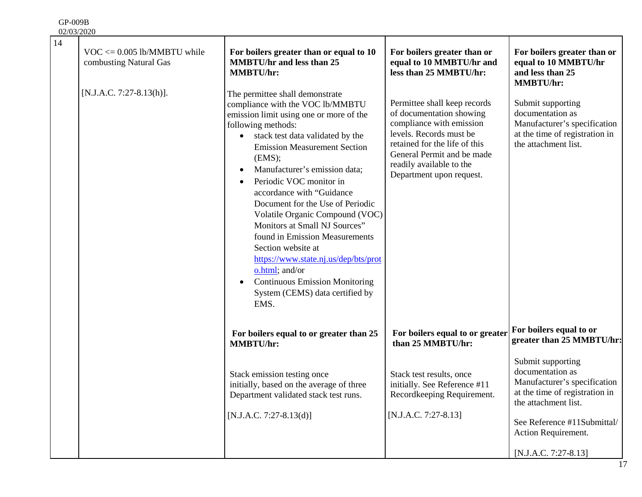| 14 | $VOC \le 0.005$ lb/MMBTU while<br>combusting Natural Gas | For boilers greater than or equal to 10<br><b>MMBTU/hr and less than 25</b><br><b>MMBTU/hr:</b>                                                                                                                                                                                                                                                                                                                                                                                                                                                                                                                                                            | For boilers greater than or<br>equal to 10 MMBTU/hr and<br>less than 25 MMBTU/hr:                                                                                                                                                      | For boilers greater than or<br>equal to 10 MMBTU/hr<br>and less than 25<br><b>MMBTU/hr:</b>                                     |
|----|----------------------------------------------------------|------------------------------------------------------------------------------------------------------------------------------------------------------------------------------------------------------------------------------------------------------------------------------------------------------------------------------------------------------------------------------------------------------------------------------------------------------------------------------------------------------------------------------------------------------------------------------------------------------------------------------------------------------------|----------------------------------------------------------------------------------------------------------------------------------------------------------------------------------------------------------------------------------------|---------------------------------------------------------------------------------------------------------------------------------|
|    | $[N.J.A.C. 7:27-8.13(h)].$                               | The permittee shall demonstrate<br>compliance with the VOC lb/MMBTU<br>emission limit using one or more of the<br>following methods:<br>stack test data validated by the<br><b>Emission Measurement Section</b><br>(EMS);<br>Manufacturer's emission data;<br>$\bullet$<br>Periodic VOC monitor in<br>accordance with "Guidance<br>Document for the Use of Periodic<br>Volatile Organic Compound (VOC)<br>Monitors at Small NJ Sources"<br>found in Emission Measurements<br>Section website at<br>https://www.state.nj.us/dep/bts/prot<br>o.html; and/or<br><b>Continuous Emission Monitoring</b><br>$\bullet$<br>System (CEMS) data certified by<br>EMS. | Permittee shall keep records<br>of documentation showing<br>compliance with emission<br>levels. Records must be<br>retained for the life of this<br>General Permit and be made<br>readily available to the<br>Department upon request. | Submit supporting<br>documentation as<br>Manufacturer's specification<br>at the time of registration in<br>the attachment list. |
|    |                                                          | For boilers equal to or greater than 25<br><b>MMBTU/hr:</b>                                                                                                                                                                                                                                                                                                                                                                                                                                                                                                                                                                                                | For boilers equal to or greater<br>than 25 MMBTU/hr:                                                                                                                                                                                   | For boilers equal to or<br>greater than 25 MMBTU/hr:                                                                            |
|    |                                                          | Stack emission testing once<br>initially, based on the average of three<br>Department validated stack test runs.                                                                                                                                                                                                                                                                                                                                                                                                                                                                                                                                           | Stack test results, once<br>initially. See Reference #11<br>Recordkeeping Requirement.                                                                                                                                                 | Submit supporting<br>documentation as<br>Manufacturer's specification<br>at the time of registration in<br>the attachment list. |
|    |                                                          | $[N.J.A.C. 7:27-8.13(d)]$                                                                                                                                                                                                                                                                                                                                                                                                                                                                                                                                                                                                                                  | [N.J.A.C. 7:27-8.13]                                                                                                                                                                                                                   | See Reference #11Submittal/<br>Action Requirement.                                                                              |
|    |                                                          |                                                                                                                                                                                                                                                                                                                                                                                                                                                                                                                                                                                                                                                            |                                                                                                                                                                                                                                        | [N.J.A.C. 7:27-8.13]                                                                                                            |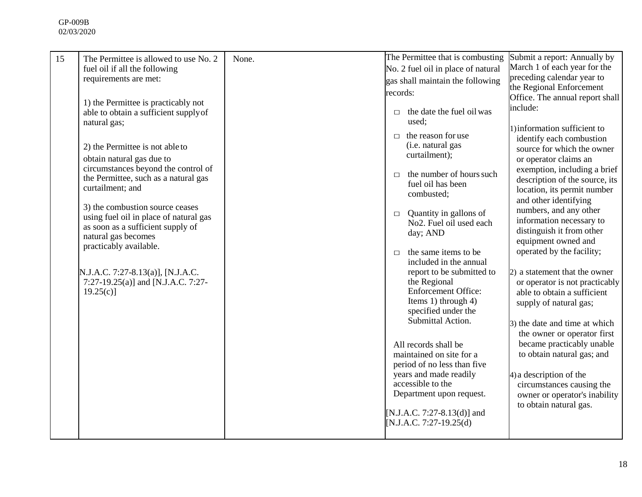| 15 | The Permittee is allowed to use No. 2                            | None. | The Permittee that is combusting                                         | Submit a report: Annually by<br>March 1 of each year for the |
|----|------------------------------------------------------------------|-------|--------------------------------------------------------------------------|--------------------------------------------------------------|
|    | fuel oil if all the following<br>requirements are met:           |       | No. 2 fuel oil in place of natural<br>gas shall maintain the following   | preceding calendar year to                                   |
|    |                                                                  |       | records:                                                                 | the Regional Enforcement                                     |
|    | 1) the Permittee is practicably not                              |       |                                                                          | Office. The annual report shall                              |
|    | able to obtain a sufficient supply of                            |       | the date the fuel oil was<br>$\Box$                                      | include:                                                     |
|    | natural gas;                                                     |       | used;                                                                    | 1) information sufficient to                                 |
|    |                                                                  |       | $\Box$ the reason for use                                                | identify each combustion                                     |
|    | 2) the Permittee is not able to                                  |       | (i.e. natural gas<br>curtailment);                                       | source for which the owner                                   |
|    | obtain natural gas due to<br>circumstances beyond the control of |       |                                                                          | or operator claims an<br>exemption, including a brief        |
|    | the Permittee, such as a natural gas                             |       | the number of hours such<br>$\Box$<br>fuel oil has been                  | description of the source, its                               |
|    | curtailment; and                                                 |       | combusted;                                                               | location, its permit number                                  |
|    | 3) the combustion source ceases                                  |       |                                                                          | and other identifying                                        |
|    | using fuel oil in place of natural gas                           |       | Quantity in gallons of<br>$\Box$<br>No <sub>2</sub> . Fuel oil used each | numbers, and any other<br>information necessary to           |
|    | as soon as a sufficient supply of                                |       | day; AND                                                                 | distinguish it from other                                    |
|    | natural gas becomes<br>practicably available.                    |       |                                                                          | equipment owned and                                          |
|    |                                                                  |       | the same items to be<br>$\Box$<br>included in the annual                 | operated by the facility;                                    |
|    | N.J.A.C. 7:27-8.13(a)], [N.J.A.C.                                |       | report to be submitted to                                                | 2) a statement that the owner                                |
|    | 7:27-19.25(a)] and [N.J.A.C. 7:27-                               |       | the Regional                                                             | or operator is not practicably                               |
|    | $19.25(c)$ ]                                                     |       | <b>Enforcement Office:</b>                                               | able to obtain a sufficient                                  |
|    |                                                                  |       | Items 1) through $4$ )<br>specified under the                            | supply of natural gas;                                       |
|    |                                                                  |       | Submittal Action.                                                        | 3) the date and time at which                                |
|    |                                                                  |       |                                                                          | the owner or operator first                                  |
|    |                                                                  |       | All records shall be                                                     | became practicably unable                                    |
|    |                                                                  |       | maintained on site for a<br>period of no less than five                  | to obtain natural gas; and                                   |
|    |                                                                  |       | years and made readily                                                   | 4) a description of the                                      |
|    |                                                                  |       | accessible to the                                                        | circumstances causing the                                    |
|    |                                                                  |       | Department upon request.                                                 | owner or operator's inability                                |
|    |                                                                  |       | [N.J.A.C. 7:27-8.13(d)] and                                              | to obtain natural gas.                                       |
|    |                                                                  |       | [N.J.A.C. 7:27-19.25(d)                                                  |                                                              |
|    |                                                                  |       |                                                                          |                                                              |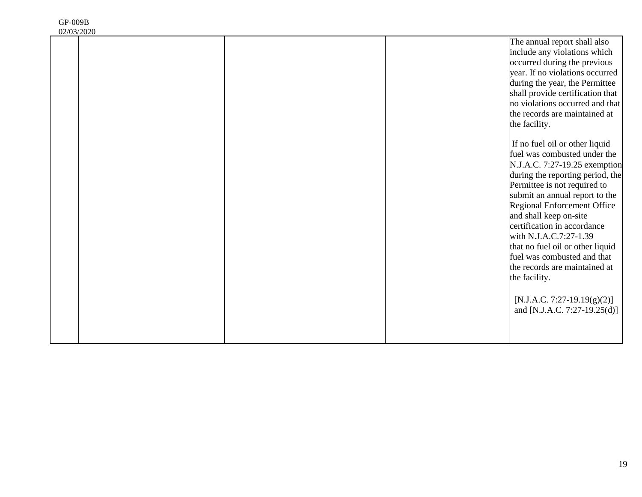| 02/03/2020 |  |                                  |
|------------|--|----------------------------------|
|            |  | The annual report shall also     |
|            |  | include any violations which     |
|            |  | occurred during the previous     |
|            |  | year. If no violations occurred  |
|            |  | during the year, the Permittee   |
|            |  | shall provide certification that |
|            |  | no violations occurred and that  |
|            |  | the records are maintained at    |
|            |  | the facility.                    |
|            |  |                                  |
|            |  | If no fuel oil or other liquid   |
|            |  | fuel was combusted under the     |
|            |  | N.J.A.C. 7:27-19.25 exemption    |
|            |  | during the reporting period, the |
|            |  | Permittee is not required to     |
|            |  | submit an annual report to the   |
|            |  | Regional Enforcement Office      |
|            |  | and shall keep on-site           |
|            |  | certification in accordance      |
|            |  | with N.J.A.C.7:27-1.39           |
|            |  | that no fuel oil or other liquid |
|            |  | fuel was combusted and that      |
|            |  | the records are maintained at    |
|            |  | the facility.                    |
|            |  |                                  |
|            |  | $[N.J.A.C. 7:27-19.19(g)(2)]$    |
|            |  |                                  |
|            |  | and [N.J.A.C. 7:27-19.25(d)]     |
|            |  |                                  |
|            |  |                                  |
|            |  |                                  |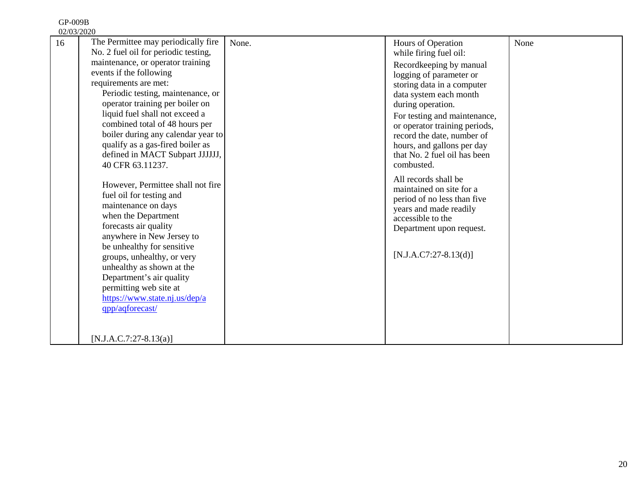| 02/03/2020 |                                                                                                                                                                                                                                                                                                                                                                                                                               |       |                                                                                                                                                                                                                                                                                                                                              |      |
|------------|-------------------------------------------------------------------------------------------------------------------------------------------------------------------------------------------------------------------------------------------------------------------------------------------------------------------------------------------------------------------------------------------------------------------------------|-------|----------------------------------------------------------------------------------------------------------------------------------------------------------------------------------------------------------------------------------------------------------------------------------------------------------------------------------------------|------|
| 16         | The Permittee may periodically fire<br>No. 2 fuel oil for periodic testing,<br>maintenance, or operator training<br>events if the following<br>requirements are met:<br>Periodic testing, maintenance, or<br>operator training per boiler on<br>liquid fuel shall not exceed a<br>combined total of 48 hours per<br>boiler during any calendar year to<br>qualify as a gas-fired boiler as<br>defined in MACT Subpart JJJJJJ, | None. | Hours of Operation<br>while firing fuel oil:<br>Recordkeeping by manual<br>logging of parameter or<br>storing data in a computer<br>data system each month<br>during operation.<br>For testing and maintenance,<br>or operator training periods,<br>record the date, number of<br>hours, and gallons per day<br>that No. 2 fuel oil has been | None |
|            | 40 CFR 63.11237.<br>However, Permittee shall not fire.<br>fuel oil for testing and<br>maintenance on days<br>when the Department<br>forecasts air quality<br>anywhere in New Jersey to<br>be unhealthy for sensitive<br>groups, unhealthy, or very<br>unhealthy as shown at the<br>Department's air quality<br>permitting web site at<br>https://www.state.nj.us/dep/a<br>qpp/aqforecast/<br>$[N.J.A.C.7:27-8.13(a)]$         |       | combusted.<br>All records shall be<br>maintained on site for a<br>period of no less than five<br>years and made readily<br>accessible to the<br>Department upon request.<br>$[N.J.A.C7:27-8.13(d)]$                                                                                                                                          |      |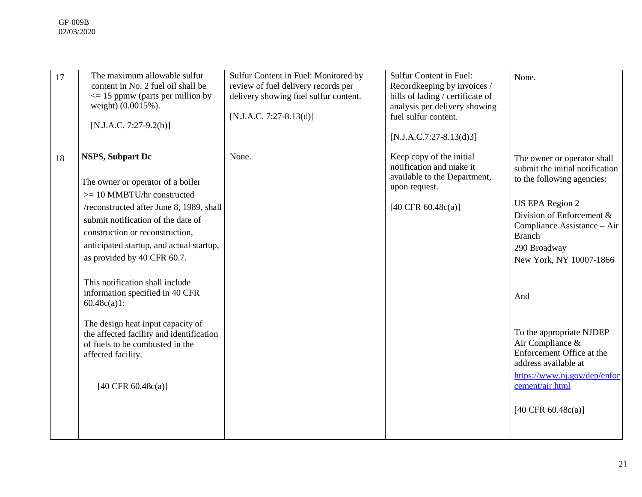| 17 | The maximum allowable sulfur<br>content in No. 2 fuel oil shall be<br>$\leq$ 15 ppmw (parts per million by<br>weight) (0.0015%).<br>$[N.J.A.C. 7:27-9.2(b)]$                                                                                                                                                                                                                                                                                                                                                                                            | Sulfur Content in Fuel: Monitored by<br>review of fuel delivery records per<br>delivery showing fuel sulfur content.<br>$[N.J.A.C. 7:27-8.13(d)]$ | Sulfur Content in Fuel:<br>Recordkeeping by invoices /<br>bills of lading / certificate of<br>analysis per delivery showing<br>fuel sulfur content.<br>$[N.J.A.C.7:27-8.13(d)3]$ | None.                                                                                                                                                                                                                                                                                                                                                                                                                                     |
|----|---------------------------------------------------------------------------------------------------------------------------------------------------------------------------------------------------------------------------------------------------------------------------------------------------------------------------------------------------------------------------------------------------------------------------------------------------------------------------------------------------------------------------------------------------------|---------------------------------------------------------------------------------------------------------------------------------------------------|----------------------------------------------------------------------------------------------------------------------------------------------------------------------------------|-------------------------------------------------------------------------------------------------------------------------------------------------------------------------------------------------------------------------------------------------------------------------------------------------------------------------------------------------------------------------------------------------------------------------------------------|
| 18 | <b>NSPS, Subpart Dc</b><br>The owner or operator of a boiler<br>$>= 10$ MMBTU/hr constructed<br>/reconstructed after June 8, 1989, shall<br>submit notification of the date of<br>construction or reconstruction,<br>anticipated startup, and actual startup,<br>as provided by 40 CFR 60.7.<br>This notification shall include<br>information specified in 40 CFR<br>$60.48c(a)1$ :<br>The design heat input capacity of<br>the affected facility and identification<br>of fuels to be combusted in the<br>affected facility.<br>[40 CFR $60.48c(a)$ ] | None.                                                                                                                                             | Keep copy of the initial<br>notification and make it<br>available to the Department,<br>upon request.<br>[40 CFR $60.48c(a)$ ]                                                   | The owner or operator shall<br>submit the initial notification<br>to the following agencies:<br><b>US EPA Region 2</b><br>Division of Enforcement $\&$<br>Compliance Assistance - Air<br><b>Branch</b><br>290 Broadway<br>New York, NY 10007-1866<br>And<br>To the appropriate NJDEP<br>Air Compliance &<br>Enforcement Office at the<br>address available at<br>https://www.nj.gov/dep/enfor<br>cement/air.html<br>[40 CFR $60.48c(a)$ ] |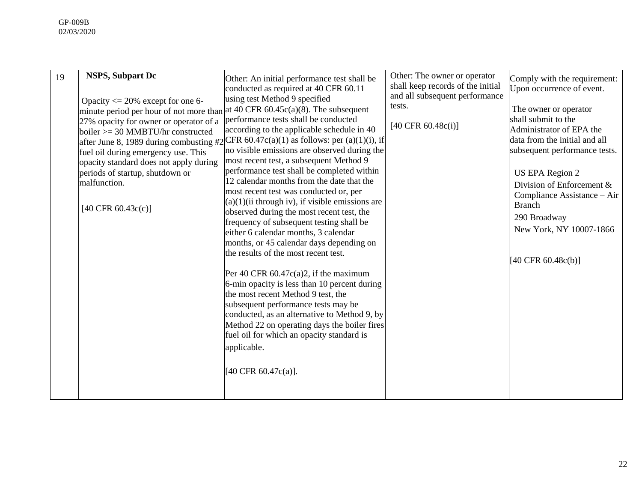| [40 CFR 60.47 $c(a)$ ]. |
|-------------------------|
|-------------------------|